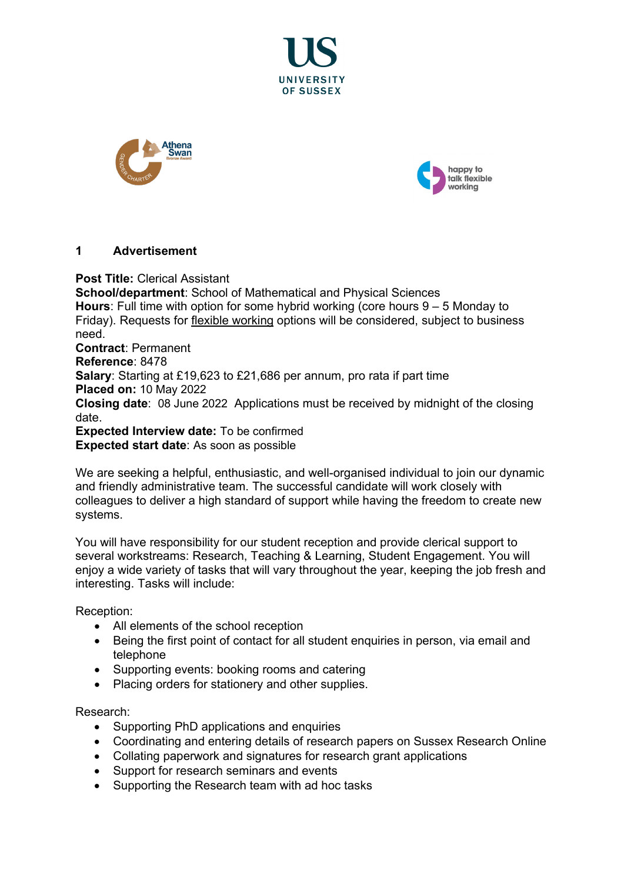





# **1 Advertisement**

**Post Title:** Clerical Assistant **School/department**: School of Mathematical and Physical Sciences **Hours**: Full time with option for some hybrid working (core hours 9 – 5 Monday to Friday). Requests for [flexible working](http://www.sussex.ac.uk/humanresources/personnel/flexible-working) options will be considered, subject to business need. **Contract**: Permanent **Reference**: 8478 **Salary**: Starting at £19,623 to £21,686 per annum, pro rata if part time **Placed on:** 10 May 2022 **Closing date**: 08 June 2022 Applications must be received by midnight of the closing date. **Expected Interview date:** To be confirmed

**Expected start date**: As soon as possible

We are seeking a helpful, enthusiastic, and well-organised individual to join our dynamic and friendly administrative team. The successful candidate will work closely with colleagues to deliver a high standard of support while having the freedom to create new systems.

You will have responsibility for our student reception and provide clerical support to several workstreams: Research, Teaching & Learning, Student Engagement. You will enjoy a wide variety of tasks that will vary throughout the year, keeping the job fresh and interesting. Tasks will include:

Reception:

- All elements of the school reception
- Being the first point of contact for all student enquiries in person, via email and telephone
- Supporting events: booking rooms and catering
- Placing orders for stationery and other supplies.

Research:

- Supporting PhD applications and enquiries
- Coordinating and entering details of research papers on Sussex Research Online
- Collating paperwork and signatures for research grant applications
- Support for research seminars and events
- Supporting the Research team with ad hoc tasks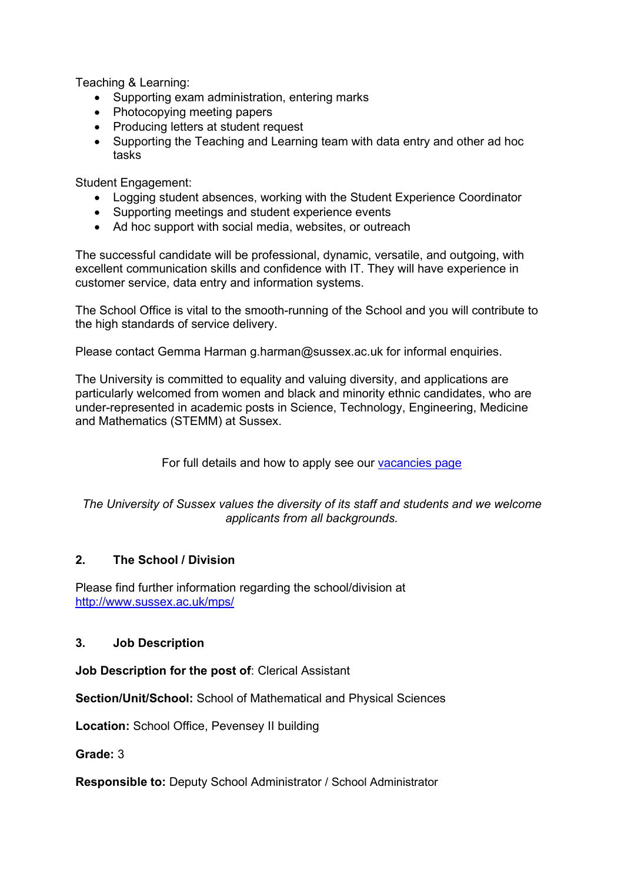Teaching & Learning:

- Supporting exam administration, entering marks
- Photocopying meeting papers
- Producing letters at student request
- Supporting the Teaching and Learning team with data entry and other ad hoc tasks

Student Engagement:

- Logging student absences, working with the Student Experience Coordinator
- Supporting meetings and student experience events
- Ad hoc support with social media, websites, or outreach

The successful candidate will be professional, dynamic, versatile, and outgoing, with excellent communication skills and confidence with IT. They will have experience in customer service, data entry and information systems.

The School Office is vital to the smooth-running of the School and you will contribute to the high standards of service delivery.

Please contact Gemma Harman g.harman@sussex.ac.uk for informal enquiries.

The University is committed to equality and valuing diversity, and applications are particularly welcomed from women and black and minority ethnic candidates, who are under-represented in academic posts in Science, Technology, Engineering, Medicine and Mathematics (STEMM) at Sussex.

For full details and how to apply see our [vacancies page](http://www.sussex.ac.uk/about/jobs)

### *The University of Sussex values the diversity of its staff and students and we welcome applicants from all backgrounds.*

# **2. The School / Division**

Please find further information regarding the school/division at <http://www.sussex.ac.uk/mps/>

# **3. Job Description**

**Job Description for the post of**: Clerical Assistant

**Section/Unit/School:** School of Mathematical and Physical Sciences

**Location:** School Office, Pevensey II building

**Grade:** 3

**Responsible to:** Deputy School Administrator / School Administrator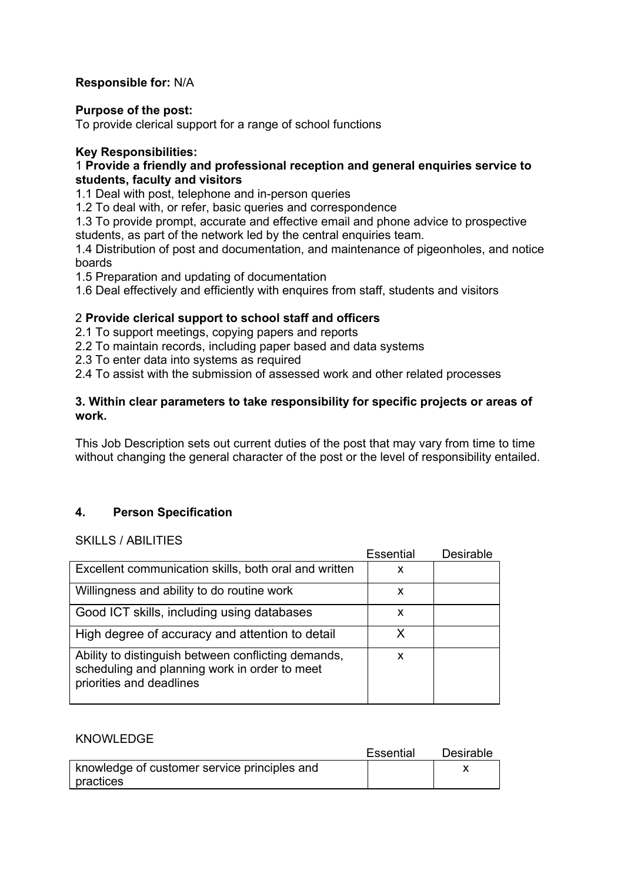# **Responsible for:** N/A

#### **Purpose of the post:**

To provide clerical support for a range of school functions

### **Key Responsibilities:**

### 1 **Provide a friendly and professional reception and general enquiries service to students, faculty and visitors**

1.1 Deal with post, telephone and in-person queries

1.2 To deal with, or refer, basic queries and correspondence

1.3 To provide prompt, accurate and effective email and phone advice to prospective students, as part of the network led by the central enquiries team.

1.4 Distribution of post and documentation, and maintenance of pigeonholes, and notice boards

1.5 Preparation and updating of documentation

1.6 Deal effectively and efficiently with enquires from staff, students and visitors

### 2 **Provide clerical support to school staff and officers**

2.1 To support meetings, copying papers and reports

- 2.2 To maintain records, including paper based and data systems
- 2.3 To enter data into systems as required

2.4 To assist with the submission of assessed work and other related processes

### **3. Within clear parameters to take responsibility for specific projects or areas of work.**

This Job Description sets out current duties of the post that may vary from time to time without changing the general character of the post or the level of responsibility entailed.

# **4. Person Specification**

#### SKILLS / ABILITIES

|                                                                                                                                  | <b>Essential</b> | Desirable |
|----------------------------------------------------------------------------------------------------------------------------------|------------------|-----------|
| Excellent communication skills, both oral and written                                                                            | x                |           |
| Willingness and ability to do routine work                                                                                       | x                |           |
| Good ICT skills, including using databases                                                                                       | x                |           |
| High degree of accuracy and attention to detail                                                                                  | x                |           |
| Ability to distinguish between conflicting demands,<br>scheduling and planning work in order to meet<br>priorities and deadlines | x                |           |

#### KNOWLEDGE

|                                              | <b>Essential</b> | Desirable |
|----------------------------------------------|------------------|-----------|
| knowledge of customer service principles and |                  |           |
| practices                                    |                  |           |